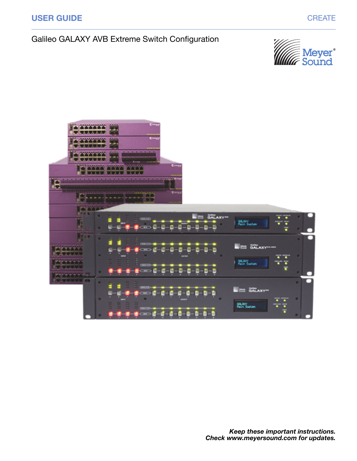

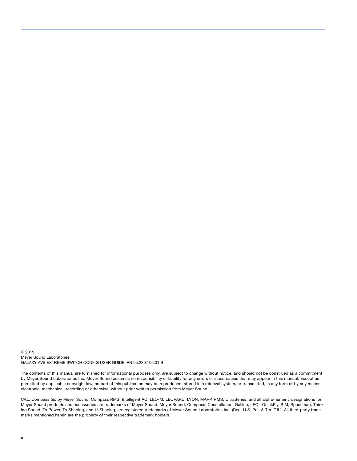© 2019 Meyer Sound Laboratories GALAXY AVB EXTREME SWITCH CONFIG USER GUIDE, PN 05.230.105.01 B

The contents of this manual are furnished for informational purposes only, are subject to change without notice, and should not be construed as a commitment by Meyer Sound Laboratories Inc. Meyer Sound assumes no responsibility or liability for any errors or inaccuracies that may appear in this manual. Except as permitted by applicable copyright law, no part of this publication may be reproduced, stored in a retrieval system, or transmitted, in any form or by any means, electronic, mechanical, recording or otherwise, without prior written permission from Meyer Sound.

CAL, Compass Go by Meyer Sound, Compass RMS, Intelligent AC, LEO-M, LEOPARD, LYON, MAPP, RMS, UltraSeries, and all alpha-numeric designations for Meyer Sound products and accessories are trademarks of Meyer Sound. Meyer Sound, Compass, Constellation, Galileo, LEO, QuickFly, SIM, Spacemap, Thinking Sound, TruPower, TruShaping, and U-Shaping, are registered trademarks of Meyer Sound Laboratories Inc. (Reg. U.S. Pat. & Tm. Off.). All third-party trademarks mentioned herein are the property of their respective trademark holders.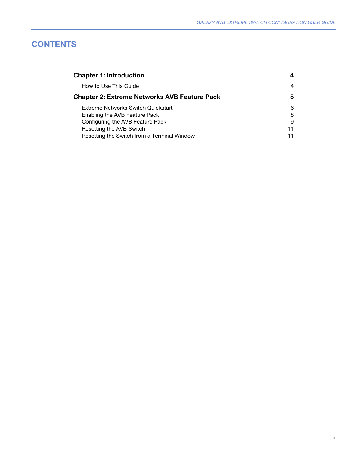# **CONTENTS**

| <b>Chapter 1: Introduction</b>                      |    |
|-----------------------------------------------------|----|
| How to Use This Guide                               | 4  |
| <b>Chapter 2: Extreme Networks AVB Feature Pack</b> | 5  |
| Extreme Networks Switch Quickstart                  | 6  |
| Enabling the AVB Feature Pack                       | 8  |
| Configuring the AVB Feature Pack                    | 9  |
| Resetting the AVB Switch                            | 11 |
| Resetting the Switch from a Terminal Window         |    |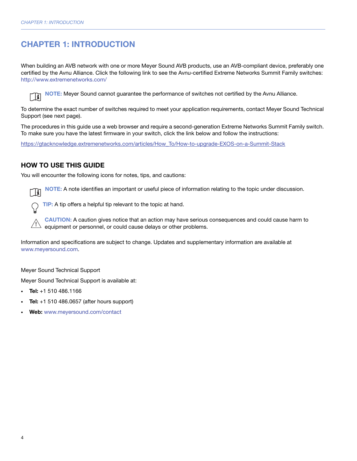# <span id="page-3-0"></span>CHAPTER 1: INTRODUCTION

When building an AVB network with one or more Meyer Sound AVB products, use an AVB-compliant device, preferably one certified by the Avnu Alliance. Click the following link to see the Avnu-certified Extreme Networks Summit Family switches: <http://www.extremenetworks.com/>

NOTE: Meyer Sound cannot guarantee the performance of switches not certified by the Avnu Alliance. m

To determine the exact number of switches required to meet your application requirements, contact Meyer Sound Technical Support (see next page).

The procedures in this guide use a web browser and require a second-generation Extreme Networks Summit Family switch. To make sure you have the latest firmware in your switch, click the link below and follow the instructions:

[https://gtacknowledge.extremenetworks.com/articles/How\\_To/How-to-upgrade-EXOS-on-a-Summit-Stack](https://gtacknowledge.extremenetworks.com/articles/How_To/How-to-upgrade-EXOS-on-a-Summit-Stack)

# <span id="page-3-1"></span>HOW TO USE THIS GUIDE

You will encounter the following icons for notes, tips, and cautions:

NOTE: A note identifies an important or useful piece of information relating to the topic under discussion. Ħ

TIP: A tip offers a helpful tip relevant to the topic at hand.

CAUTION: A caution gives notice that an action may have serious consequences and could cause harm to equipment or personnel, or could cause delays or other problems. **!**

Information and specifications are subject to change. Updates and supplementary information are available at [www.meyersound.com.](http://meyersound.com/)

Meyer Sound Technical Support

Meyer Sound Technical Support is available at:

- **Tel:**  $+1$  510 486.1166
- **Tel:**  $+1$  510 486.0657 (after hours support)
- Web: [www.meyersound.com/contact](http://meyersound.com/support/)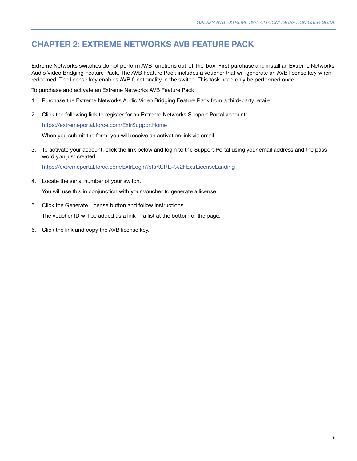# <span id="page-4-0"></span>CHAPTER 2: EXTREME NETWORKS AVB FEATURE PACK

Extreme Networks switches do not perform AVB functions out-of-the-box. First purchase and install an Extreme Networks Audio Video Bridging Feature Pack. The AVB Feature Pack includes a voucher that will generate an AVB license key when redeemed. The license key enables AVB functionality in the switch. This task need only be performed once.

To purchase and activate an Extreme Networks AVB Feature Pack:

- 1. Purchase the Extreme Networks Audio Video Bridging Feature Pack from a third-party retailer.
- 2. Click the following link to register for an Extreme Networks Support Portal account:

<https://extremeportal.force.com/ExtrSupportHome>

When you submit the form, you will receive an activation link via email.

3. To activate your account, click the link below and login to the Support Portal using your email address and the password you just created.

<https://extremeportal.force.com/ExtrLogin?startURL=%2FExtrLicenseLanding>

4. Locate the serial number of your switch.

You will use this in conjunction with your voucher to generate a license.

5. Click the Generate License button and follow instructions.

The voucher ID will be added as a link in a list at the bottom of the page.

6. Click the link and copy the AVB license key.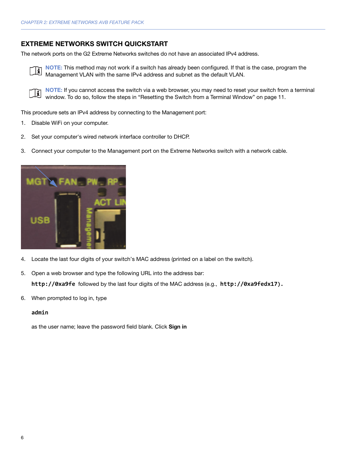## <span id="page-5-0"></span>EXTREME NETWORKS SWITCH QUICKSTART

The network ports on the G2 Extreme Networks switches do not have an associated IPv4 address.



NOTE: This method may not work if a switch has already been configured. If that is the case, program the Management VLAN with the same IPv4 address and subnet as the default VLAN.

E

NOTE: If you cannot access the switch via a web browser, you may need to reset your switch from a terminal window. To do so, follow the steps in ["Resetting the Switch from a Terminal Window" on page 11.](#page-10-1)

This procedure sets an IPv4 address by connecting to the Management port:

- 1. Disable WiFi on your computer.
- 2. Set your computer's wired network interface controller to DHCP.
- 3. Connect your computer to the Management port on the Extreme Networks switch with a network cable.



- 4. Locate the last four digits of your switch's MAC address (printed on a label on the switch).
- 5. Open a web browser and type the following URL into the address bar:

**http://0xa9fe** followed by the last four digits of the MAC address (e.g., **http://0xa9fedx17).**

6. When prompted to log in, type

#### **admin**

as the user name; leave the password field blank. Click Sign in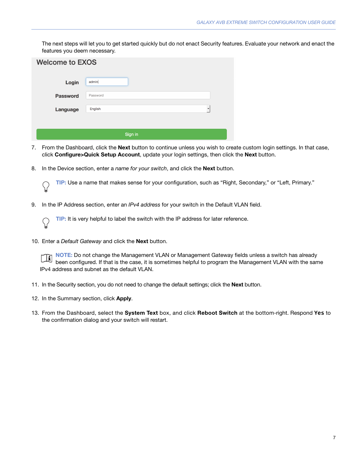The next steps will let you to get started quickly but do not enact Security features. Evaluate your network and enact the features you deem necessary.

| <b>Welcome to EXOS</b> |              |  |  |  |  |
|------------------------|--------------|--|--|--|--|
| Login                  | admin        |  |  |  |  |
| <b>Password</b>        | Password     |  |  |  |  |
| Language               | English<br>۰ |  |  |  |  |
|                        |              |  |  |  |  |
| Sign in                |              |  |  |  |  |

- 7. From the Dashboard, click the **Next** button to continue unless you wish to create custom login settings. In that case, click Configure>Quick Setup Account, update your login settings, then click the Next button.
- 8. In the Device section, enter a name for your switch, and click the **Next** button.

TIP: Use a name that makes sense for your configuration, such as "Right, Secondary," or "Left, Primary."

9. In the IP Address section, enter an IPv4 address for your switch in the Default VLAN field.

TIP: It is very helpful to label the switch with the IP address for later reference.

10. Enter a Default Gateway and click the Next button.

NOTE: Do not change the Management VLAN or Management Gateway fields unless a switch has already been configured. If that is the case, it is sometimes helpful to program the Management VLAN with the same IPv4 address and subnet as the default VLAN.

- 11. In the Security section, you do not need to change the default settings; click the Next button.
- 12. In the Summary section, click Apply.
- 13. From the Dashboard, select the System Text box, and click Reboot Switch at the bottom-right. Respond **Yes** to the confirmation dialog and your switch will restart.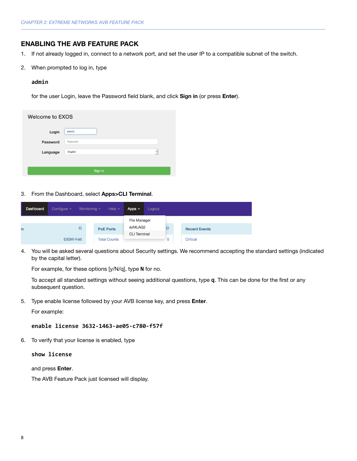## <span id="page-7-0"></span>ENABLING THE AVB FEATURE PACK

- 1. If not already logged in, connect to a network port, and set the user IP to a compatible subnet of the switch.
- 2. When prompted to log in, type

#### **admin**

for the user Login, leave the Password field blank, and click Sign in (or press Enter).

| <b>Welcome to EXOS</b> |                                     |  |  |  |  |
|------------------------|-------------------------------------|--|--|--|--|
| Login                  | admin                               |  |  |  |  |
| Password               | Password                            |  |  |  |  |
| Language               | English<br>$\overline{\phantom{a}}$ |  |  |  |  |
|                        |                                     |  |  |  |  |
| Sign in                |                                     |  |  |  |  |

3. From the Dashboard, select Apps>CLI Terminal.

| Dashboard | Configure $\sim$ | Monitoring $\sim$<br>Help $\sim$ | Apps $\sim$         | Logout |           |                      |  |
|-----------|------------------|----------------------------------|---------------------|--------|-----------|----------------------|--|
|           |                  |                                  | File Manager        |        |           |                      |  |
| m         | $\bullet$        | <b>PoE Ports</b>                 | ezMLAG2             |        | $\bullet$ | <b>Recent Events</b> |  |
|           |                  |                                  | <b>CLI</b> Terminal |        |           |                      |  |
|           | <b>EXSW-Fett</b> | <b>Total Counts</b>              |                     |        | 0         | Critical             |  |

4. You will be asked several questions about Security settings. We recommend accepting the standard settings (indicated by the capital letter).

For example, for these options [y/N/q], type **N** for no.

To accept all standard settings without seeing additional questions, type **q**. This can be done for the first or any subsequent question.

5. Type enable license followed by your AVB license key, and press **Enter**.

For example:

### **enable license 3632-1463-ae05-c780-f57f**

6. To verify that your license is enabled, type

#### **show license**

and press Enter.

The AVB Feature Pack just licensed will display.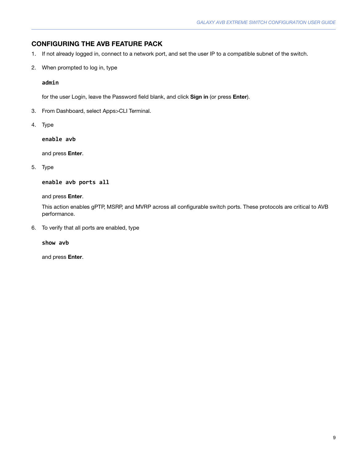# <span id="page-8-0"></span>CONFIGURING THE AVB FEATURE PACK

- 1. If not already logged in, connect to a network port, and set the user IP to a compatible subnet of the switch.
- 2. When prompted to log in, type

### **admin**

for the user Login, leave the Password field blank, and click Sign in (or press Enter).

- 3. From Dashboard, select Apps>CLI Terminal.
- 4. Type

**enable avb**

and press Enter.

5. Type

**enable avb ports all**

and press Enter.

This action enables gPTP, MSRP, and MVRP across all configurable switch ports. These protocols are critical to AVB performance.

6. To verify that all ports are enabled, type

**show avb**

and press Enter.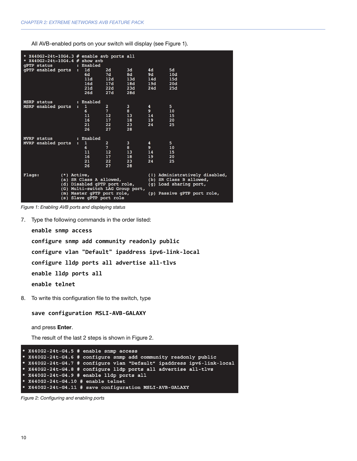All AVB-enabled ports on your switch will display (see [Figure 1\)](#page-9-0).

| * $X440G2 - 24t - 10G4.3$ # enable avb ports all<br>* $X440G2 - 24t - 10G4.4$ # show avb<br>qPTP status<br>$\mathcal{L}(\mathcal{L})$ and $\mathcal{L}(\mathcal{L})$ and $\mathcal{L}(\mathcal{L})$ and $\mathcal{L}(\mathcal{L})$ and $\mathcal{L}(\mathcal{L})$ | : Enabled                                                                                                                                             |                                                                  |                                                 |                                                    |                                                                                                                    |
|-------------------------------------------------------------------------------------------------------------------------------------------------------------------------------------------------------------------------------------------------------------------|-------------------------------------------------------------------------------------------------------------------------------------------------------|------------------------------------------------------------------|-------------------------------------------------|----------------------------------------------------|--------------------------------------------------------------------------------------------------------------------|
| gPTP enabled ports : 1d                                                                                                                                                                                                                                           | 6d<br>11d<br>16d<br>21d<br>26d                                                                                                                        | 2d<br>7d<br>12d<br>17d<br>22d<br>27d                             | 3d<br>8d<br>13d<br>18d<br>23d<br>28d            | 4d<br>9d<br>14d<br>19d a<br>24d                    | 5d<br>10d<br>15d<br>20d<br>25d                                                                                     |
| MSRP status<br>MSRP enabled ports                                                                                                                                                                                                                                 | : Enabled<br>$\mathbf{1}$<br>6.<br>11<br>16<br>21<br>26                                                                                               | $2 -$<br>$7 -$<br>12 <sup>2</sup><br>17<br>22 <sub>2</sub><br>27 | 3 <sup>1</sup><br>8<br>13<br>18<br>$23 -$<br>28 | 4<br>9 <sup>°</sup><br>14<br>19 <sup>2</sup><br>24 | 5<br>10<br>15<br>20<br>25                                                                                          |
| MVRP status<br>MVRP enabled ports                                                                                                                                                                                                                                 | : Enabled<br>1<br>$\mathbf{R}^{\text{max}}$<br>6.<br>11<br>16<br>21<br>26                                                                             | $2 -$<br>$7 -$<br>12<br>17<br>22<br>27                           | $\mathbf{3}$<br>8<br>13<br>18<br>23<br>28       | 4<br>9<br>14<br>19<br>24                           | 5<br>10<br>15<br>20<br>25                                                                                          |
| Flags:<br>$(*)$ Active,                                                                                                                                                                                                                                           | (a) SR Class A allowed,<br>(d) Disabled gPTP port role,<br>(G) Multi-switch LAG Group port,<br>(m) Master qPTP port role,<br>(s) Slave gPTP port role |                                                                  |                                                 |                                                    | (!) Administratively disabled,<br>(b) SR Class B allowed,<br>(g) Load sharing port,<br>(p) Passive qPTP port role, |

<span id="page-9-0"></span>Figure 1: Enabling AVB ports and displaying status

7. Type the following commands in the order listed:

**enable snmp access configure snmp add community readonly public configure vlan "Default" ipaddress ipv6-link-local configure lldp ports all advertise all-tlvs enable lldp ports all enable telnet**

8. To write this configuration file to the switch, type

**save configuration MSLI-AVB-GALAXY**

and press Enter.

The result of the last 2 steps is shown in [Figure 2.](#page-9-1)

```
X440G2 - 24t - G4.5 # enable snmp access
 X440G2-24t-G4.6 # configure snmp add community readonly public
 X440G2-24t-G4.7 # configure vlan "Default" ipaddress ipv6-link-local
 X440G2-24t-G4.8 # configure lldp ports all advertise all-tlvs
 X440G2-24t-G4.9 # enable lldp ports all
 X440G2 - 24t - G4.10 # enable telnet
* X440G2-24t-G4.11 # save configuration MSLI-AVB-GALAXY
```
<span id="page-9-1"></span>Figure 2: Configuring and enabling ports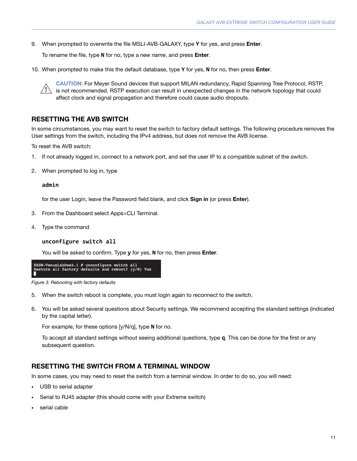9. When prompted to overwrite the file MSLI-AVB-GALAXY, type **Y** for yes, and press Enter.

To rename the file, type **N** for no, type a new name, and press Enter.

10. When prompted to make this the default database, type **Y** for yes, **N** for no, then press Enter.

CAUTION: For Meyer Sound devices that support MILAN redundancy, Rapid Spanning Tree Protocol, RSTP, is not recommended. RSTP execution can result in unexpected changes in the network topology that could affect clock and signal propagation and therefore could cause audio dropouts. !

## <span id="page-10-0"></span>RESETTING THE AVB SWITCH

In some circumstances, you may want to reset the switch to factory default settings. The following procedure removes the User settings from the switch, including the IPv4 address, but does not remove the AVB license.

To reset the AVB switch:

- 1. If not already logged in, connect to a network port, and set the user IP to a compatible subnet of the switch.
- 2. When prompted to log in, type

#### **admin**

for the user Login, leave the Password field blank, and click Sign in (or press Enter).

- 3. From the Dashboard select Apps>CLI Terminal.
- 4. Type the command

#### **unconfigure switch all**

You will be asked to confirm. Type **y** for yes, **N** for no, then press Enter.

```
EXSW-VenusLabDesk.1 # unconfigure switch all<br>Restore all factory defaults and reboot? (y/N) Yes
```
Figure 3: Rebooting with factory defaults

- 5. When the switch reboot is complete, you must login again to reconnect to the switch.
- 6. You will be asked several questions about Security settings. We recommend accepting the standard settings (indicated by the capital letter).

For example, for these options [y/N/q], type **N** for no.

To accept all standard settings without seeing additional questions, type **q**. This can be done for the first or any subsequent question.

## <span id="page-10-1"></span>RESETTING THE SWITCH FROM A TERMINAL WINDOW

In some cases, you may need to reset the switch from a terminal window. In order to do so, you will need:

- USB to serial adapter
- Serial to RJ45 adapter (this should come with your Extreme switch)
- serial cable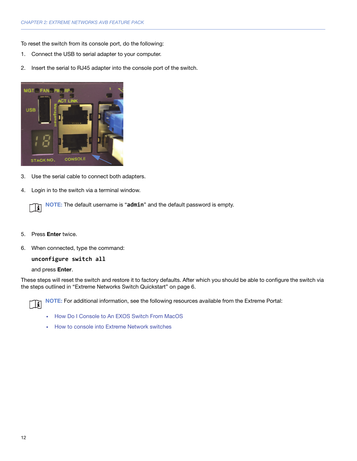To reset the switch from its console port, do the following:

- 1. Connect the USB to serial adapter to your computer.
- 2. Insert the serial to RJ45 adapter into the console port of the switch.



- 3. Use the serial cable to connect both adapters.
- 4. Login in to the switch via a terminal window.



- 5. Press Enter twice.
- 6. When connected, type the command:

### **unconfigure switch all**

#### and press Enter.

These steps will reset the switch and restore it to factory defaults. After which you should be able to configure the switch via the steps outlined in ["Extreme Networks Switch Quickstart" on page 6](#page-5-0).

 $\Box$ 

NOTE: For additional information, see the following resources available from the Extreme Portal:

- [How Do I Console to An EXOS Switch From MacOS](https://extremeportal.force.com/ExtrArticleDetail?n=000018378&q=How%20Do%20I%20Console%20to%20An%20EXOS%20Switch%20From%20MACOS)
- [How to console into Extreme Network switches](https://extremeportal.force.com/ExtrArticleDetail?n=000001063&q=How%20to%20console%20into%20Extreme%20and%20Enterasys%20switches)